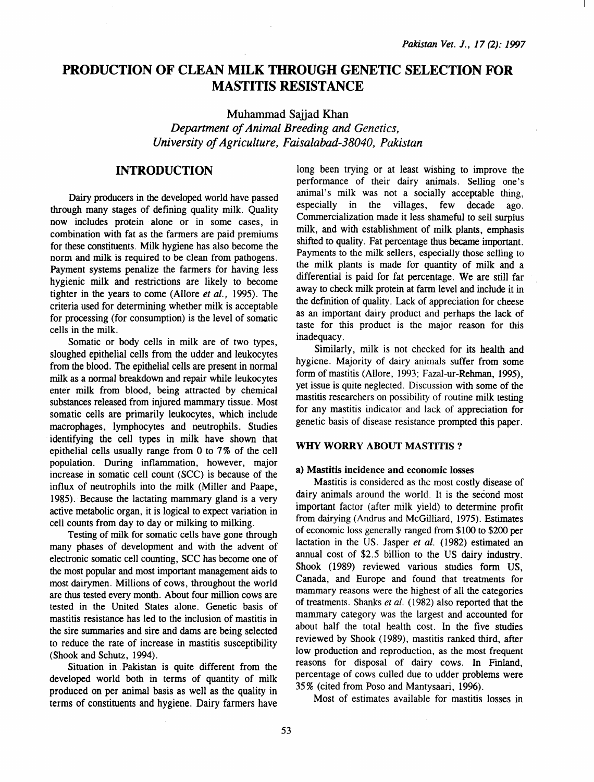# PRODUCTION OF CLEAN MILK THROUGH GENETIC SELECTION FOR MASTITIS RESISTANCE

Muhammad Sajjad Khan *Department of Animal Breeding and Genetics, University of Agriculture, Faisalabad-38040, Pakistan* 

# INTRODUCTION

Dairy producers in the developed world have passed through many stages of defining quality milk. Quality now includes protein alone or in some cases, in combination with fat as the farmers are paid premiums for these constituents. Milk hygiene has also become the norm and milk is required to be clean from pathogens. Payment systems penalize the farmers for having less hygienic milk and restrictions are likely to become tighter in the years to come (Allore *et al.,* 1995). The criteria used for determining whether milk is acceptable for processing (for consumption) is the level of somatic cells in the milk.

Somatic or body cells in milk are of two types, sloughed epithelial cells from the udder and leukocytes from the blood. The epithelial cells are present in normal milk as a normal breakdown and repair while leukocytes enter milk from blood, being attracted by chemical substances released from injured mammary tissue. Most somatic cells are primarily leukocytes, which include macrophages, lymphocytes and neutrophils. Studies identifying the cell types in milk have shown that epithelial cells usually range from 0 to 7% of the cell population. During inflammation, however, major increase in somatic cell count (SCC) is because of the influx of neutrophils into the milk (Miller and Paape, 1985). Because the lactating mammary gland is a very active metabolic organ, it is logical to expect variation in cell counts from day to day or milking to milking.

Testing of milk for somatic cells have gone through many phases of development and with the advent of electronic somatic cell counting, SCC has become one of the most popular and most important management aids to most dairymen. Millions of cows, throughout the world are thus tested every month. About four million cows are tested in the United States alone. Genetic basis of mastitis resistance has led to the inclusion of mastitis in the sire summaries and sire and dams are being selected to reduce the rate of increase in mastitis susceptibility (Shook and Schutz, 1994).

Situation in Pakistan is quite different from the developed world both in terms of quantity of milk produced on per animal basis as well as the quality in terms of constituents and hygiene. Dairy farmers have

long been trying or at least wishing to improve the performance of their dairy animals. Selling one's animal's milk was not a socially acceptable thing, especially in the villages, few decade ago. Commercialization made it less shameful to sell surplus milk, and with establishment of milk plants, emphasis shifted to quality. Fat percentage thus became important. Payments to the milk sellers, especially those selling to the milk plants is made for quantity of milk and a differential is paid for fat percentage. We are still far away to check milk protein at farm level and include it in the definition of quality. Lack of appreciation for cheese as an important dairy product and perhaps the lack of taste for this product is the major reason for this inadequacy.

Similarly, milk is not checked for its health and hygiene. Majority of dairy animals suffer from some form of mastitis (Allore, 1993; Fazal-ur-Rehman, 1995), yet issue is quite neglected. Discussion with some of the mastitis researchers on possibility of routine milk testing for any mastitis indicator and lack of appreciation for genetic basis of disease resistance prompted this paper.

# WHY WORRY ABOUT MASTITIS?

### a) Mastitis incidence and economic losses

Mastitis is considered as the most costly disease of dairy animals around the world. It is the second most important factor (after milk yield) to determine profit from dairying (Andrus and McGilliard, 1975). Estimates of economic loss generally ranged from \$100 to \$200 per lactation in the US. Jasper *et al.* (1982) estimated an annual cost of \$2.5 billion to the US dairy industry. Shook (1989) reviewed various studies form US. Canada, and Europe and found that treatments for mammary reasons were the highest of all the categories of treatments. Shanks *et al.* (1982) also reported that the mammary category was the largest and accounted for about half the total health cost. In the five studies reviewed by Shook (1989), mastitis ranked third, after low production and reproduction, as the most frequent reasons for disposal of dairy cows. In Finland, percentage of cows culled due to udder problems were 35% (cited from Poso and Mantysaari, 1996).

Most of estimates available for mastitis losses in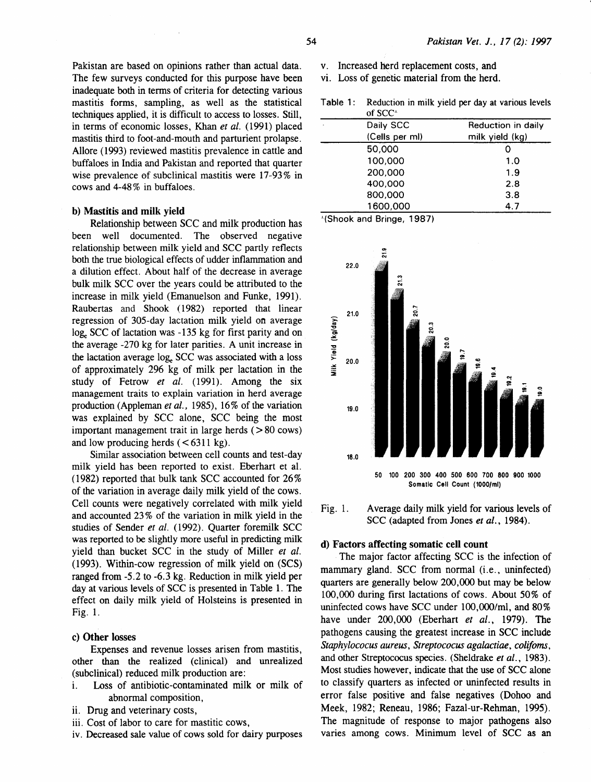Pakistan are based on opinions rather than actual data. The few surveys conducted for this purpose have been inadequate both in terms of criteria for detecting various mastitis forms, sampling, as well as the statistical techniques applied, it is difficult to access to losses. Still, in terms of economic losses, Khan *et al.* (1991) placed mastitis third to foot-and-mouth and parturient prolapse. Allore ( 1993) reviewed mastitis prevalence in cattle and buffaloes in India and Pakistan and reported that quarter wise prevalence of subclinical mastitis were 17-93% in cows and 4-48% in buffaloes.

#### b) Mastitis and milk yield

Relationship between SCC and milk production has been well documented. The observed negative relationship between milk yield and SCC partly reflects both the true biological effects of udder inflammation and a dilution effect. About half of the decrease in average bulk milk SCC over the years could be attributed to the increase in milk yield (Emanuelson and Funke, 1991). Raubertas and Shook (1982) reported that linear regression of 305-day lactation milk yield on average log. SCC of lactation was -135 kg for first parity and on the average -270 kg for later parities. A unit increase in the lactation average log. SCC was associated with a loss of approximately 296 kg of milk per lactation in the study of Fetrow *et al.* (1991). Among the six management traits to explain variation in herd average production (Appleman *et al.,* 1985), 16% of the variation was explained by SCC alone, SCC being the most important management trait in large herds  $( > 80 \text{ cows})$ and low producing herds  $(< 6311 \text{ kg})$ .

Similar association between cell counts and test-day milk yield has been reported to exist. Eberhart et al. (1982) reported that bulk tank SCC accounted for  $26\%$ of the variation in average daily milk yield of the cows. Cell counts were negatively correlated with milk yield and accounted 23% of the variation in milk yield in the studies of Sender *et al.* (1992). Quarter foremilk SCC was reported to be slightly more useful in predicting milk yield than bucket SCC in the study of Miller *et al.*  (1993). Within-cow regression of milk yield on (SCS) ranged from -5.2 to -6.3 kg. Reduction in milk yield per day at various levels of SCC is presented in Table 1. The effect on daily milk yield of Holsteins is presented in Fig. 1.

### c) Other losses

Expenses and revenue losses arisen from mastitis, other than the realized (clinical) and unrealized (subclinical) reduced milk production are:

- i. Loss of antibiotic-contaminated milk or milk of abnormal composition,
- ii. Drug and veterinary costs,
- iii. Cost of labor to care for mastitic cows,
- iv. Decreased sale value of cows sold for dairy purposes
- v. Increased herd replacement costs, and
- vi. Loss of genetic material from the herd.

Table 1: Reduction in milk yield per day at various levels  $\alpha$ f $SCC$ 

| .              |                    |
|----------------|--------------------|
| Daily SCC      | Reduction in daily |
| (Cells per ml) | milk yield (kg)    |
| 50,000         |                    |
| 100,000        | 1.0                |
| 200.000        | 1.9                |
| 400,000        | 2.8                |
| 800,000        | 3.8                |
| 1600,000       | 4.7                |
|                |                    |

.L(Shook and Bringe, 1987)



Fig. 1. Average daily milk yield for various levels of sec (adapted from Jones *et al.,* 1984).

### d) Factors affecting somatic cell count

The major factor affecting SCC is the infection of mammary gland. SCC from normal (i.e., uninfected) quarters are generally below 200,000 but may be below 100,000 during first lactations of cows. About 50% of uninfected cows have SCC under  $100,000$ /ml, and  $80\%$ have under 200,000 (Eberhart *et al.,* 1979). The pathogens causing the greatest increase in SCC include *Staphylococus aureus, Streptococus agalactiae, colifoms,*  and other Streptococus species. (Sheldrake *et al.,* 1983). Most studies however, indicate that the use of SCC alone to classify quarters as infected or uninfected results in error false positive and false negatives (Dohoo and Meek, 1982; Reneau, 1986; Fazal-ur-Rehman, 1995). The magnitude of response to major pathogens also varies among cows. Minimum level of SCC as an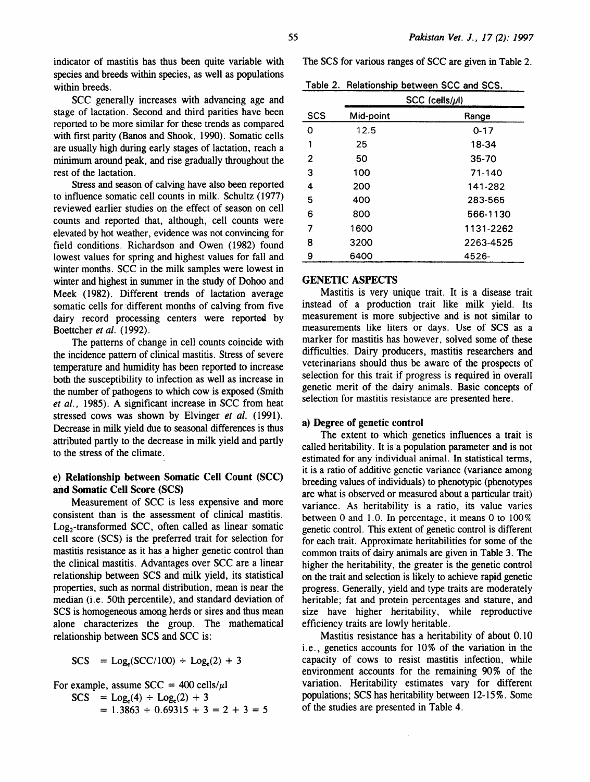indicator of mastitis has thus been quite variable with species and breeds within species, as well as populations within breeds.

SCC generally increases with advancing age and stage of lactation. Second and third parities have been reported to be more similar for these trends as compared with first parity (Banos and Shook, 1990). Somatic cells are usually high during early stages of lactation, reach a minimum around peak, and rise gradually throughout the rest of the lactation.

Stress and season of calving have also been reported to influence somatic cell counts in milk. Schultz ( 1977) reviewed earlier studies on the effect of season on cell counts and reported that, although, cell counts were elevated by hot weather, evidence was not convincing for field conditions. Richardson and Owen (1982) found lowest values for spring and highest values for fall and winter months. SCC in the milk samples were lowest in winter and highest in summer in the study of Dohoo and Meek (1982). Different trends of lactation average somatic cells for different months of calving from five dairy record processing centers were reported by Boettcher *et al.* (1992).

The patterns of change in cell counts coincide with the incidence pattern of clinical mastitis. Stress of severe temperature and humidity has been reported to increase both the susceptibility to infection as well as increase in the number of pathogens to which cow is exposed (Smith *et al.,* 1985). A significant increase in SCC from heat stressed cows was shown by Elvinger *et al.* (1991). Decrease in milk yield due to seasonal differences is thus attributed partly to the decrease in milk yield and partly to the stress of the climate.

# e) Relationship between Somatic Cell Count (SCC) and Somatic Cell Score (SCS)

Measurement of SCC is less expensive and more consistent than is the assessment of clinical mastitis. Log<sub>2</sub>-transformed SCC, often called as linear somatic cell score (SCS) is the preferred trait for selection for mastitis resistance as it has a higher genetic control than the clinical mastitis. Advantages over SCC are a linear relationship between SCS and milk yield, its statistical properties, such as normal distribution, mean is near the median (i.e. 50th percentile), and standard deviation of SCS is homogeneous among herds or sires and thus mean alone characterizes the group. The mathematical relationship between SCS and SCC is:

$$
SCS = Log_e(SCC/100) \div Log_e(2) + 3
$$

For example, assume  $SCC = 400$  cells/ $\mu$ l

 $SCS = Log<sub>e</sub>(4) + Log<sub>e</sub>(2) + 3$ 

$$
= 1.3863 \div 0.69315 + 3 = 2 + 3 = 5
$$

The SCS for various ranges of SCC are given in Table 2.

Table 2. Relationship between SCC and SCS.

|            |           | $SCC$ (cells/ $\mu$ l) |  |  |  |
|------------|-----------|------------------------|--|--|--|
| <b>SCS</b> | Mid-point | Range                  |  |  |  |
| o          | 12.5      | $0 - 17$               |  |  |  |
| 1          | 25        | 18-34                  |  |  |  |
| 2          | 50        | $35 - 70$              |  |  |  |
| 3          | 100       | 71-140                 |  |  |  |
| 4          | 200       | 141-282                |  |  |  |
| 5          | 400       | 283-565                |  |  |  |
| 6          | 800       | 566-1130               |  |  |  |
| 7          | 1600      | 1131-2262              |  |  |  |
| 8          | 3200      | 2263-4525              |  |  |  |
| 9          | 6400      | 4526-                  |  |  |  |

# GENETIC ASPECTS

Mastitis is very unique trait. It is a disease trait instead of a production trait like milk yield. Its measurement is more subjective and is not similar to measurements like liters or days. Use of SCS as a marker for mastitis has however, solved some of these difficulties. Dairy producers, mastitis researchers and veterinarians should thus be aware of the prospects of selection for this trait if progress is required in overall genetic merit of the dairy animals. Basic concepts of selection for mastitis resistance are presented here.

#### a) Degree of genetic control

The extent to which genetics influences a trait is called heritability. It is a population parameter and is not estimated for any individual animal. In statistical terms, it is a ratio of additive genetic variance (variance among breeding values of individuals) to phenotypic (phenotypes are what is observed or measured about a particular trait) variance. As heritability is a ratio, its value varies between 0 and 1.0. In percentage, it means 0 to 100% genetic control. This extent of genetic control is different for each trait. Approximate heritabilities for some of the common traits of dairy animals are given in Table 3. The higher the heritability, the greater is the genetic control on the trait and selection is likely to achieve rapid genetic progress. Generally, yield and type traits are moderately heritable; fat and protein percentages and stature, and size have higher heritability, while reproductive efficiency traits are lowly heritable.

Mastitis resistance has a heritability of about 0.10 i.e., genetics accounts for 10% of the variation in the capacity of cows to resist mastitis infection, while environment accounts for the remaining 90% of the variation. Heritability estimates vary for different populations; SCS has heritability between 12-15%. Some of the studies are presented in Table 4.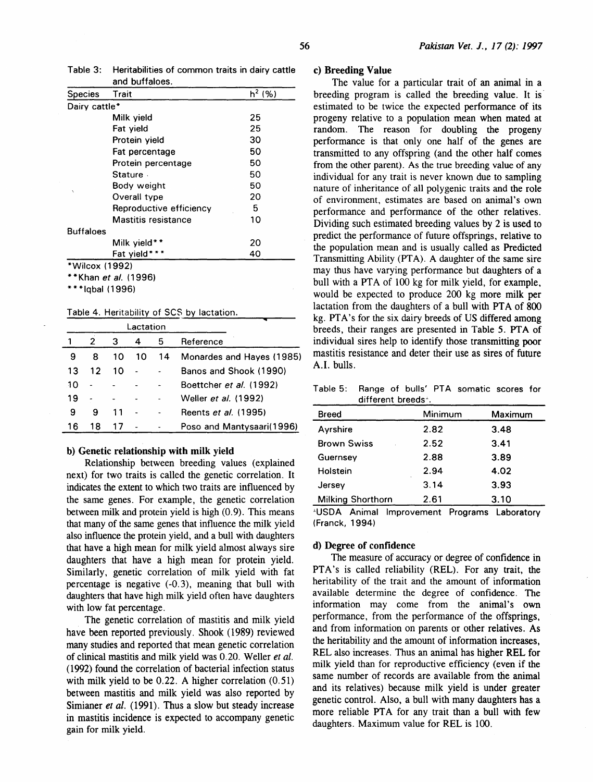| Table 3: Heritabilities of common traits in dairy cattle |
|----------------------------------------------------------|
| and buffaloes.                                           |

| <b>Species</b>     | Trait                       | $h^2(%)$ |  |  |  |  |
|--------------------|-----------------------------|----------|--|--|--|--|
|                    | Dairy cattle*               |          |  |  |  |  |
|                    | Milk yield                  | 25       |  |  |  |  |
|                    | Fat yield                   | 25       |  |  |  |  |
|                    | Protein yield               | 30       |  |  |  |  |
|                    | Fat percentage              | 50       |  |  |  |  |
|                    | Protein percentage          | 50       |  |  |  |  |
|                    | <b>Stature</b>              | 50       |  |  |  |  |
|                    | Body weight                 | 50       |  |  |  |  |
| Ń                  | Overall type                | 20       |  |  |  |  |
|                    | Reproductive efficiency     | 5        |  |  |  |  |
|                    | <b>Mastitis resistance</b>  | 10       |  |  |  |  |
| <b>Buffaloes</b>   |                             |          |  |  |  |  |
|                    | Milk yield**                | 20       |  |  |  |  |
| Fat yield***<br>40 |                             |          |  |  |  |  |
| *Wilcox (1992)     |                             |          |  |  |  |  |
|                    | **Khan <i>et al.</i> (1996) |          |  |  |  |  |
|                    |                             |          |  |  |  |  |

\*\*\*Iqbal (1996)

Table 4. Heritability of SCS by lactation.

|    |    | Lactation |    |    |                           |
|----|----|-----------|----|----|---------------------------|
|    | 2  | 3         | 4  | 5  | Reference                 |
| 9  | 8  | 10        | 10 | 14 | Monardes and Hayes (1985) |
| 13 | 12 | 10.       |    |    | Banos and Shook (1990)    |
| 10 |    |           |    |    | Boettcher et al. (1992)   |
| 19 |    |           |    |    | Weller et al. (1992)      |
| 9  | 9  | 11        |    |    | Reents et al. (1995)      |
| 16 | 18 | 17        |    |    | Poso and Mantysaari(1996) |

#### b) Genetic relationship with milk yield

Relationship between breeding values (explained next) for two traits is called the genetic correlation. It indicates the extent to which two traits are influenced by the same genes. For example, the genetic correlation between milk and protein yield is high (0.9). This means that many of the same genes that influence the milk yield also influence the protein yield, and a bull with daughters that have a high mean for milk yield almost always sire daughters that have a high mean for protein yield. Similarly, genetic correlation of milk yield with fat percentage is negative (-0.3), meaning that bull with daughters that have high milk yield often have daughters with low fat percentage.

The genetic correlation of mastitis and milk yield have been reported previously. Shook (1989) reviewed many studies and reported that mean genetic correlation of clinical mastitis and milk yield was 0.20. Weller *et al.*  ( 1992) found the correlation of bacterial infection status with milk yield to be 0.22. A higher correlation  $(0.51)$ between mastitis and milk yield was also reported by Simianer *et al.* (1991). Thus a slow but steady increase in mastitis incidence is expected to accompany genetic gain for milk yield.

### c) Breeding Value

The value for a particular trait of an animal in a breeding program is called the breeding value. It is estimated to be twice the expected performance of its progeny relative to a population mean when mated at random. The reason for doubling the progeny performance is that only one half of the genes are transmitted to any offspring (and the other half comes from the other parent). As the true breeding value of any individual for any trait is never known due to sampling nature of inheritance of all polygenic traits and the role of environment, estimates are based on animal's own performance and performance of the other relatives. Dividing such estimated breeding values by 2 is used to predict the performance of future offsprings, relative to the population mean and is usually called as Predicted Transmitting Ability (PTA). A daughter of the same sire may thus have varying performance but daughters of a bull with a PTA of 100 kg for milk yield, for example, would be expected to produce 200 kg more milk per lactation from the daughters of a bull with PTA of 800 kg. PTA's for the six dairy breeds of US differed among breeds, their ranges are presented in Table 5. PTA of individual sires help to identify those transmitting poor mastitis resistance and deter their use as sires of future A.I. bulls.

| Table 5: Range of bulls' PTA somatic scores for |                                 |  |  |  |
|-------------------------------------------------|---------------------------------|--|--|--|
|                                                 | different breeds <sup>+</sup> . |  |  |  |

| Breed                    | Minimum | Maximum |
|--------------------------|---------|---------|
| Ayrshire                 | 2.82    | 3.48    |
| <b>Brown Swiss</b>       | 2.52    | 3.41    |
| Guernsey                 | 2.88    | 3.89    |
| Holstein                 | 2.94    | 4.02    |
| Jersey                   | 3.14    | 3.93    |
| <b>Milking Shorthorn</b> | 2.61    | 3.10    |

.lUSDA Animal Improvement Programs Laboratory (Franck, 1994)

### d) Degree of confidence

The measure of accuracy or degree of confidence in PTA's is called reliability (REL). For any trait, the heritability of the trait and the amount of information available determine the degree of confidence. The information may come from the animal's own performance, from the performance of the offsprings, and from information on parents or other relatives. As the heritability and the amount of information increases, REL also increases. Thus an animal has higher REL for milk yield than for reproductive efficiency (even if the same number of records are available from the animal and its relatives) because milk yield is under greater genetic control. Also, a bull with many daughters has a more reliable PTA for any trait than a bull with few daughters. Maximum value for REL is 100.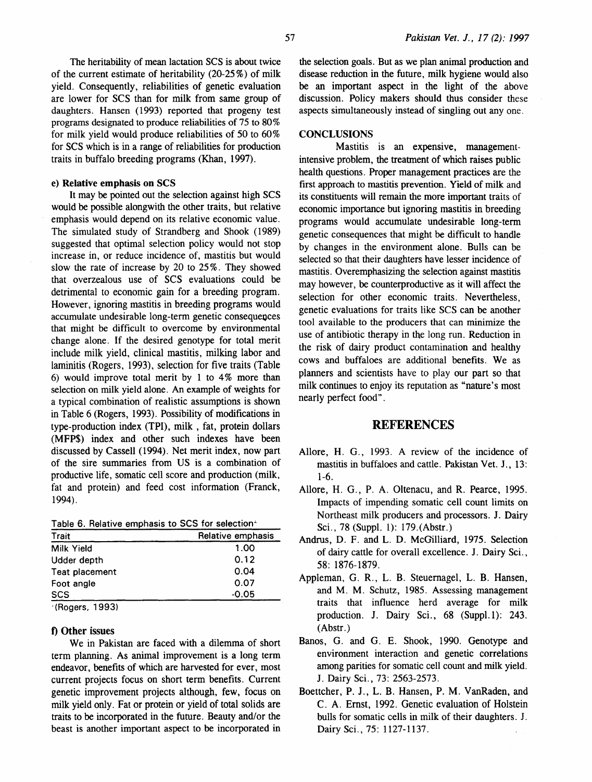The heritability of mean lactation SCS is about twice of the current estimate of heritability (20-25%) of milk yield. Consequently, reliabilities of genetic evaluation are lower for SCS than for milk from same group of daughters. Hansen (1993) reported that progeny test programs designated to produce reliabilities of 75 to 80% for milk yield would produce reliabilities of 50 to 60% for SCS which is in a range of reliabilities for production traits in buffalo breeding programs (Khan, 1997).

### e) Relative emphasis on SCS

It may be pointed out the selection against high SCS would be possible alongwith the other traits, but relative emphasis would depend on its relative economic value. The simulated study of Strandberg and Shook (1989) suggested that optimal selection policy would not stop increase in, or reduce incidence of, mastitis but would slow the rate of increase by 20 to 25%. They showed that overzealous use of SCS evaluations could be detrimental to economic gain for a breeding program. However, ignoring mastitis in breeding programs would accumulate undesirable long-term genetic consequences that might be difficult to overcome by environmental change alone. If the desired genotype for total merit include milk yield, clinical mastitis, milking labor and laminitis (Rogers, 1993), selection for five traits (Table 6) would improve total merit by 1 to 4% more than selection on milk yield alone. An example of weights for a typical combination of realistic assumptions is shown in Table 6 (Rogers, 1993). Possibility of modifications in type-production index (TPI), milk , fat, protein dollars (MFP\$) index and other such indexes have been discussed by Cassell (1994). Net merit index, now part of the sire summaries from US is a combination of productive life, somatic cell score and production (milk, fat and protein) and feed cost information (Franck, 1994).

|  |  |  | Table 6. Relative emphasis to SCS for selection <sup>1</sup> |
|--|--|--|--------------------------------------------------------------|
|  |  |  |                                                              |

| <b>Trait</b>    | Relative emphasis |  |  |
|-----------------|-------------------|--|--|
| Milk Yield      | 1.00              |  |  |
| Udder depth     | 0.12              |  |  |
| Teat placement  | 0.04              |  |  |
| Foot angle      | 0.07              |  |  |
| <b>SCS</b>      | $-0.05$           |  |  |
| 10 <sup>2</sup> |                   |  |  |

<sup>·(</sup>Rogers, 1993)

# f) Other issues

We in Pakistan are faced with a dilemma of short term planning. As animal improvement is a long term endeavor, benefits of which are harvested for ever, most current projects focus on short term benefits. Current genetic improvement projects although, few, focus on milk yield only. Fat or protein or yield of total solids are traits to be incorporated in the future. Beauty and/or the beast is another important aspect to be incorporated in

the selection goals. But as we plan animal production and disease reduction in the future, milk hygiene would also be an important aspect in the light of the above discussion. Policy makers should thus consider these aspects simultaneously instead of singling out any one.

# **CONCLUSIONS**

Mastitis is an expensive, managementintensive problem, the treatment of which raises public health questions. Proper management practices are the first approach to mastitis prevention. Yield of milk and its constituents will remain the more important traits of economic importance but ignoring mastitis in breeding programs would accumulate undesirable long-term genetic consequences that might be difficult to handle by changes in the environment alone. Bulls can be selected so that their daughters have lesser incidence of mastitis. Overemphasizing the selection against mastitis may however, be counterproductive as it will affect the selection for other economic traits. Nevertheless, genetic evaluations for traits like SCS can be another tool available to the producers that can minimize the use of antibiotic therapy in the long run. Reduction in the risk of dairy product contamination and healthy cows and buffaloes are additional benefits. We as planners and scientists have to play our part so that milk continues to enjoy its reputation as "nature's most nearly perfect food".

## **REFERENCES**

- Allore, H. G., 1993. A review of the incidence of mastitis in buffaloes and cattle. Pakistan Vet. J., 13: 1-6.
- Allore, H. G., P. A. Oltenacu, and R. Pearce, 1995. Impacts of impending somatic cell count limits on Northeast milk producers and processors. J. Dairy Sci., 78 (Suppl. 1): 179.(Abstr.)
- Andrus, D. F. and L. D. McGilliard, 1975. Selection of dairy cattle for overall excellence. J. Dairy Sci. , 58: 1876-1879.
- Appleman, G. R., L. B. Steuemagel, L. B. Hansen, and M. M. Schutz, 1985. Assessing management traits that influence herd average for milk production. J. Dairy Sci., 68 (Suppl.1): 243. (Abstr.)
- Banos, G. and G. E. Shook, 1990. Genotype and environment interaction and genetic correlations among parities for somatic cell count and milk yield. J. Dairy Sci., 73: 2563-2573.
- Boettcher, P. J., L. B. Hansen, P. M. VanRaden, and C. A. Ernst, 1992. Genetic evaluation of Holstein bulls for somatic cells in milk of their daughters. J. Dairy Sci.. 75: 1127-1137.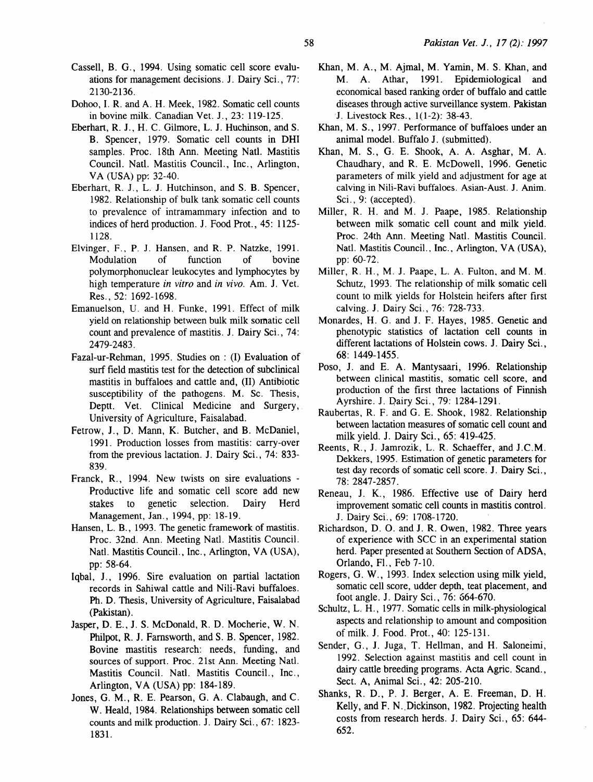- Cassell, B. G. , 1994. Using somatic cell score evaluations for management decisions. J. Dairy Sci. , 77: 2130-2136.
- Dohoo, I. R. and A. H. Meek, 1982. Somatic cell counts in bovine milk. Canadian Vet. J., 23: 119-125.
- Eberhart, R. J., H. C. Gilmore, L. J. Huchinson, and S. B. Spencer, 1979. Somatic cell counts in DHI samples. Proc. 18th Ann. Meeting Natl. Mastitis Council. Natl. Mastitis Council., Inc., Arlington, VA (USA) pp: 32-40.
- Eberhart, R. J., L. J. Hutchinson, and S. B. Spencer, 1982. Relationship of bulk tank somatic cell counts to prevalence of intramammary infection and to indices of herd production. J. Food Prot., 45: 1125- 1128.
- Elvinger, F., P. J. Hansen, and R. P. Natzke, 1991. Modulation of function of bovine polymorphonuclear leukocytes and lymphocytes by high temperature *in vitro* and *in vivo.* Am. J. Vet. Res., 52: 1692-1698.
- Emanuelson, U. and H. Funke, 1991 . Effect of milk yield on relationship between bulk milk somatic cell count and prevalence of mastitis. J. Dairy Sci., 74: 2479-2483.
- Fazal-ur-Rehman, 1995. Studies on : (I) Evaluation of surf field mastitis test for the detection of subclinical mastitis in buffaloes and cattle and, (II) Antibiotic susceptibility of the pathogens. M. Sc. Thesis, Deptt. Vet. Clinical Medicine and Surgery, University of Agriculture, Faisalabad.
- Fetrow, J., D. Mann, K. Butcher, and B. McDaniel, 1991. Production losses from mastitis: carry-over from the previous lactation. J. Dairy Sci., 74: 833- 839.
- Franck, R., 1994. New twists on sire evaluations Productive life and somatic cell score add new stakes to genetic selection. Dairy Herd Management, Jan., 1994, pp: 18-19.
- Hansen, L. B., 1993. The genetic framework of mastitis. Proc. 32nd. Ann. Meeting Natl. Mastitis Council. Natl. Mastitis Council., Inc., Arlington, VA (USA), pp: 58-64.
- Iqbal, J., 1996. Sire evaluation on partial lactation records in Sahiwal cattle and Nili-Ravi buffaloes. Ph. D. Thesis, University of Agriculture, Faisalabad (Pakistan).
- Jasper, D. E., J. S. McDonald, R. D. Mocherie, W. N. Philpot, R. J. Farnsworth, and S. B. Spencer, 1982. Bovine mastitis research: needs, funding, and sources of support. Proc. 21st Ann. Meeting Natl. Mastitis Council. Natl. Mastitis Council., Inc., Arlington, VA (USA) pp: 184-189.
- Jones, G. M., R. E. Pearson, G. A. Clabaugh, and C. W. Heald, 1984. Relationships between somatic cell counts and milk production. J. Dairy Sci., 67: 1823- 1831.
- Khan, M.A., M. Ajmal, M. Yamin, M.S. Khan, and M. A. Athar, 1991. Epidemiological and economical based ranking order of buffalo and cattle diseases through active surveillance system. Pakistan '1. Livestock Res., 1(1-2): 38-43.
- Khan, M. S., 1997. Performance of buffaloes under an animal model. Buffalo J. (submitted).
- Khan, M. S., G. E. Shook, A. A. Asghar, M. A. Chaudhary, and R. E. McDowell, 1996. Genetic parameters of milk yield and adjustment for age at calving in Nili-Ravi buffaloes. Asian-Aust. J. Anim. Sci., 9: (accepted).
- Miller, R. H. and M. J. Paape, 1985. Relationship between milk somatic cell count and milk yield. Proc. 24th Ann. Meeting Natl. Mastitis Council. Natl. Mastitis Council., Inc., Arlington, VA (USA), pp: 60-72.
- Miller, R. H., M. J. Paape, L.A. Fulton. and M. M. Schutz, 1993. The relationship of milk somatic cell count to milk yields for Holstein heifers after first calving. J. Dairy Sci., 76: 728-733.
- Monardes, H. G. and J. F. Hayes, 1985. Genetic and phenotypic statistics of lactation cell counts in different lactations of Holstein cows. J. Dairy Sci., 68: 1449-1455.
- Poso, J. and E. A. Mantysaari, 1996. Relationship between clinical mastitis, somatic cell score, and production of the first three lactations of Finnish Ayrshire. J. Dairy Sci., 79: 1284-1291.
- Raubertas, R. F. and G. E. Shook, 1982. Relationship between lactation measures of somatic cell count and milk yield. J. Dairy Sci. , 65: 419-425.
- Reents, R., J. Jamrozik, L. R. Schaeffer, and J.C.M. Dekkers, 1995. Estimation of genetic parameters for test day records of somatic cell score. J. Dairy Sci., 78: 2847-2857.
- Reneau, J. K., 1986. Effective use of Dairy herd improvement somatic cell counts in mastitis control. J. Dairy Sci., 69: 1708-1720.
- Richardson, D. 0. and J. R. Owen, 1982. Three years of experience with SCC in an experimental station herd. Paper presented at Southern Section of ADSA, Orlando, Fl., Feb 7-10.
- Rogers, G. W. , 1993. Index selection using milk yield, somatic cell score, udder depth, teat placement, and foot angle. J. Dairy Sci., 76: 664-670.
- Schultz, L. H., 1977. Somatic cells in milk-physiological aspects and relationship to amount and composition of milk. J. Food. Prot., 40: 125-131.
- Sender, G., J. Juga, T. Hellman, and H. Saloneimi, 1992. Selection against mastitis and cell count in dairy cattle breeding programs. Acta Agric. Scand., Sect. A, Animal Sci., 42: 205-210.
- Shanks, R. D., P. J. Berger, A. E. Freeman, D. H. Kelly, and F. N. Dickinson, 1982. Projecting health costs from research herds. J. Dairy Sci., 65: 644- 652.